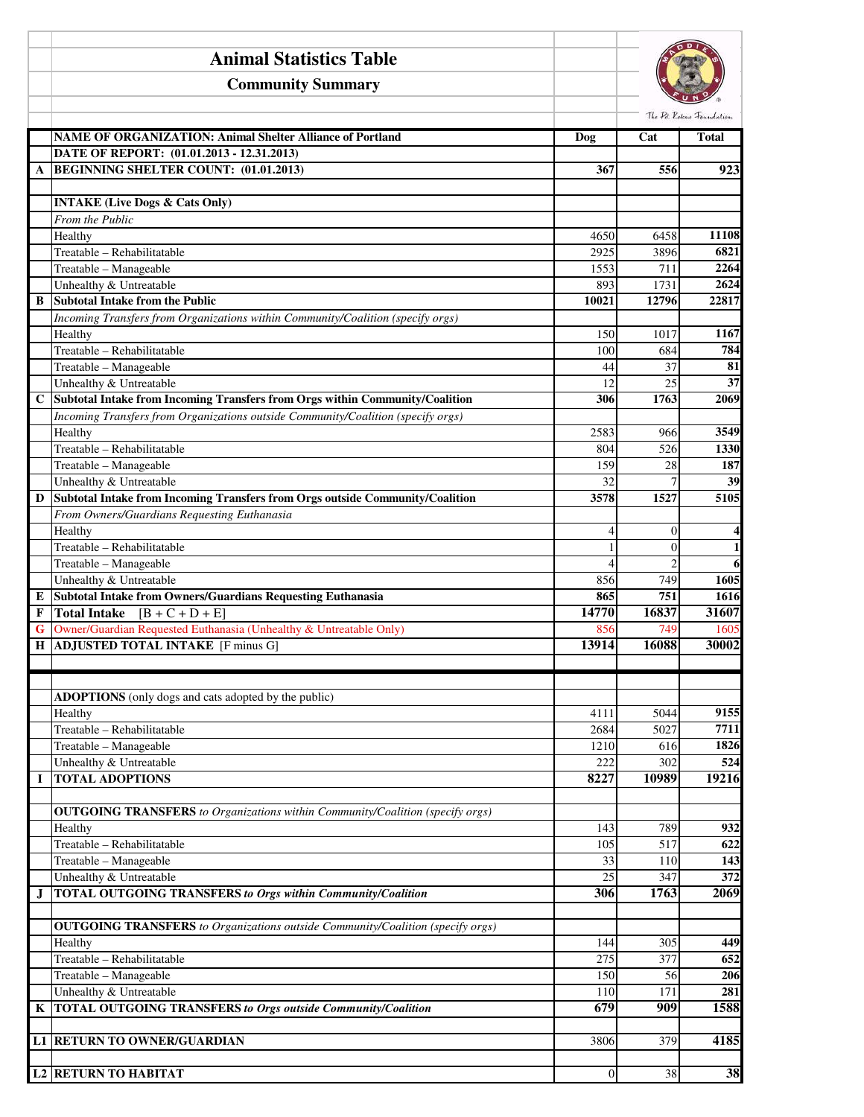|             | <b>Animal Statistics Table</b>                                                        |              |                                  |                                           |
|-------------|---------------------------------------------------------------------------------------|--------------|----------------------------------|-------------------------------------------|
|             | <b>Community Summary</b>                                                              |              |                                  |                                           |
|             | <b>NAME OF ORGANIZATION: Animal Shelter Alliance of Portland</b>                      | Dog          | Cat                              | The Pet Roscue Foundation<br><b>Total</b> |
|             | DATE OF REPORT: (01.01.2013 - 12.31.2013)                                             |              |                                  |                                           |
| A           | <b>BEGINNING SHELTER COUNT: (01.01.2013)</b>                                          | 367          | 556                              | 923                                       |
|             |                                                                                       |              |                                  |                                           |
|             | <b>INTAKE (Live Dogs &amp; Cats Only)</b>                                             |              |                                  |                                           |
|             | From the Public                                                                       |              |                                  |                                           |
|             | Healthy                                                                               | 4650         | 6458                             | 11108                                     |
|             | Treatable - Rehabilitatable                                                           | 2925         | 3896                             | 6821                                      |
|             | Treatable - Manageable                                                                | 1553         | 711                              | 2264                                      |
| B           | Unhealthy & Untreatable<br><b>Subtotal Intake from the Public</b>                     | 893          | 1731<br>12796                    | 2624                                      |
|             | Incoming Transfers from Organizations within Community/Coalition (specify orgs)       | 10021        |                                  | 22817                                     |
|             | Healthy                                                                               | 150          | 1017                             | 1167                                      |
|             | Treatable - Rehabilitatable                                                           | 100          | 684                              | 784                                       |
|             | Treatable - Manageable                                                                | 44           | 37                               | 81                                        |
|             | Unhealthy & Untreatable                                                               | 12           | 25                               | 37                                        |
| $\mathbf C$ | Subtotal Intake from Incoming Transfers from Orgs within Community/Coalition          | 306          | 1763                             | 2069                                      |
|             | Incoming Transfers from Organizations outside Community/Coalition (specify orgs)      |              |                                  |                                           |
|             | Healthy                                                                               | 2583         | 966                              | 3549                                      |
|             | Treatable - Rehabilitatable                                                           | 804          | 526                              | 1330                                      |
|             | Treatable - Manageable                                                                | 159          | 28                               | 187                                       |
|             | Unhealthy & Untreatable                                                               | 32           | $\overline{7}$                   | 39                                        |
| D           | Subtotal Intake from Incoming Transfers from Orgs outside Community/Coalition         | 3578         | 1527                             | 5105                                      |
|             | From Owners/Guardians Requesting Euthanasia                                           |              |                                  |                                           |
|             | Healthy                                                                               | 4            | $\theta$                         | 4<br>$\mathbf{1}$                         |
|             | Treatable - Rehabilitatable<br>Treatable - Manageable                                 | 4            | $\overline{0}$<br>$\overline{2}$ | 6                                         |
|             | Unhealthy & Untreatable                                                               | 856          | 749                              | 1605                                      |
| Е           | <b>Subtotal Intake from Owners/Guardians Requesting Euthanasia</b>                    | 865          | 751                              | 1616                                      |
| F           | Total Intake $[B + C + D + E]$                                                        | 14770        | 16837                            | 31607                                     |
| G           | Owner/Guardian Requested Euthanasia (Unhealthy & Untreatable Only)                    | 856          | 749                              | 1605                                      |
| Н           | <b>ADJUSTED TOTAL INTAKE</b> [F minus G]                                              | 13914        | 16088                            | 30002                                     |
|             |                                                                                       |              |                                  |                                           |
|             |                                                                                       |              |                                  |                                           |
|             | ADOPTIONS (only dogs and cats adopted by the public)                                  |              |                                  |                                           |
|             | Healthy                                                                               | 4111         | 5044                             | 9155                                      |
|             | Treatable - Rehabilitatable                                                           | 2684         | 5027                             | 7711                                      |
|             | Treatable - Manageable                                                                | 1210         | 616                              | 1826                                      |
|             | Unhealthy & Untreatable                                                               | 222          | 302                              | 524                                       |
| I           | <b>TOTAL ADOPTIONS</b>                                                                | 8227         | 10989                            | 19216                                     |
|             | <b>OUTGOING TRANSFERS</b> to Organizations within Community/Coalition (specify orgs)  |              |                                  |                                           |
|             | Healthy                                                                               | 143          | 789                              | 932                                       |
|             | Treatable - Rehabilitatable                                                           | 105          | 517                              | 622                                       |
|             | Treatable - Manageable                                                                | 33           | 110                              | 143                                       |
|             | Unhealthy & Untreatable                                                               | 25           | 347                              | $\overline{372}$                          |
| J           | <b>TOTAL OUTGOING TRANSFERS to Orgs within Community/Coalition</b>                    | 306          | 1763                             | 2069                                      |
|             |                                                                                       |              |                                  |                                           |
|             | <b>OUTGOING TRANSFERS</b> to Organizations outside Community/Coalition (specify orgs) |              |                                  |                                           |
|             | Healthy                                                                               | 144          | 305                              | 449                                       |
|             | Treatable - Rehabilitatable                                                           | 275          | 377                              | 652                                       |
|             | Treatable - Manageable                                                                | 150          | 56                               | 206                                       |
|             | Unhealthy & Untreatable                                                               | 110          | 171                              | 281                                       |
| K           | <b>TOTAL OUTGOING TRANSFERS to Orgs outside Community/Coalition</b>                   | 679          | 909                              | 1588                                      |
|             |                                                                                       |              |                                  |                                           |
|             | <b>L1 RETURN TO OWNER/GUARDIAN</b>                                                    | 3806         | 379                              | 4185                                      |
|             | <b>L2 RETURN TO HABITAT</b>                                                           | $\mathbf{0}$ | 38                               | 38                                        |
|             |                                                                                       |              |                                  |                                           |